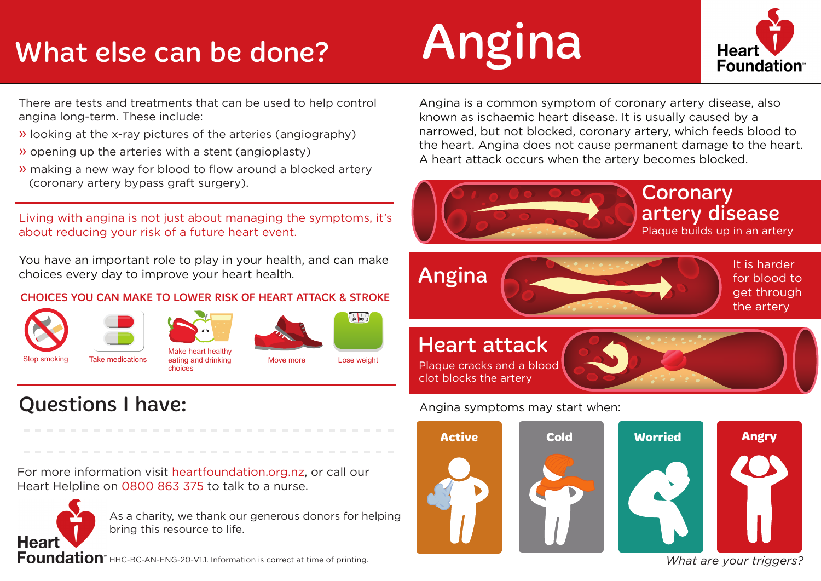# What else can be done?

# Angina



There are tests and treatments that can be used to help control angina long-term. These include:

- » looking at the x-ray pictures of the arteries (angiography)
- » opening up the arteries with a stent (angioplasty)
- » making a new way for blood to flow around a blocked artery (coronary artery bypass graft surgery).

Living with angina is not just about managing the symptoms, it's about reducing your risk of a future heart event.

You have an important role to play in your health, and can make choices every day to improve your heart health.

### CHOICES YOU CAN MAKE TO LOWER RISK OF HEART ATTACK & STROKE







choices





Take medications eating and drinking and Move more Lose weight

Questions I have:

For more information visit heartfoundation.org.nz, or call our Heart Helpline on 0800 863 375 to talk to a nurse.



As a charity, we thank our generous donors for helping bring this resource to life.

Foundation" HHC-BC-AN-ENG-20-V1.1. Information is correct at time of printing.

Angina is a common symptom of coronary artery disease, also known as ischaemic heart disease. It is usually caused by a narrowed, but not blocked, coronary artery, which feeds blood to the heart. Angina does not cause permanent damage to the heart. A heart attack occurs when the artery becomes blocked.



### Angina symptoms may start when:



*What are your triggers?*